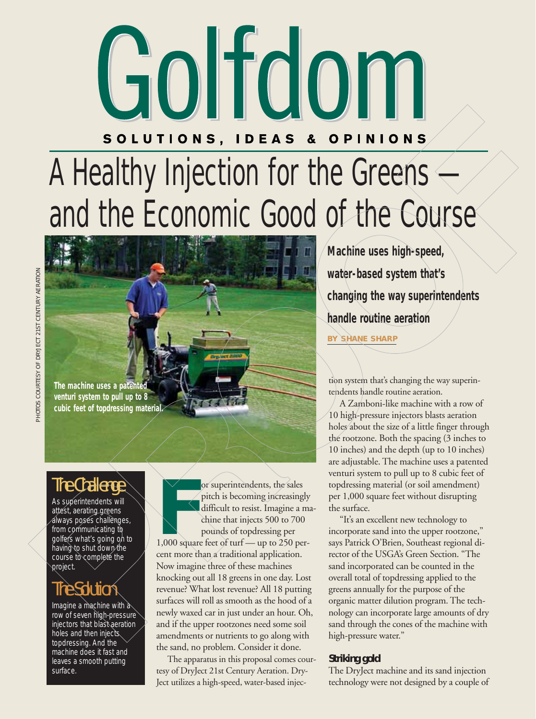# Golfdom SOLUTIONS, **IDEAS & OPINIONS**

# A Healthy Injection for the Greens and the Economic Good of the Course



## The Challenge

As superintendents will attest, aerating greens always poses challenges, from communicating to golfers what's going on to having to shut down the course to complete the project.

## The Solution

Imagine a machine with  $\alpha$ row of seven high-pressure injectors that blast aeration holes and then injects. topdressing. And the machine does it fast and leaves a smooth putting surface.

France of superintendents, the sales<br>pitch is becoming increasingly<br>difficult to resist. Imagine a m<br>chine that injects 500 to 700<br>pounds of topdressing per<br>1,000 square feet of turf — up to 250 peror superintendents, the sales pitch is becoming increasingly difficult to resist. Imagine a machine that injects 500 to 700 pounds of topdressing per cent more than a traditional application. Now imagine three of these machines knocking out all 18 greens in one day. Lost revenue? What lost revenue? All 18 putting surfaces will roll as smooth as the hood of a newly waxed car in just under an hour. Oh, and if the upper rootzones need some soil amendments or nutrients to go along with the sand, no problem. Consider it done.

The apparatus in this proposal comes courtesy of DryJect 21st Century Aeration. Dry-Ject utilizes a high-speed, water-based injec**Machine uses high-speed, water-based system that's changing the way superintendents handle routine aeration BY SHANE SHARP**

tion system that's changing the way superintendents handle routine aeration.

A Zamboni-like machine with a row of 10 high-pressure injectors blasts aeration holes about the size of a little finger through the rootzone. Both the spacing (3 inches to 10 inches) and the depth (up to 10 inches) are adjustable. The machine uses a patented venturi system to pull up to 8 cubic feet of topdressing material (or soil amendment) per 1,000 square feet without disrupting the surface.

"It's an excellent new technology to incorporate sand into the upper rootzone," says Patrick O'Brien, Southeast regional director of the USGA's Green Section. "The sand incorporated can be counted in the overall total of topdressing applied to the greens annually for the purpose of the organic matter dilution program. The technology can incorporate large amounts of dry sand through the cones of the machine with high-pressure water."

#### **Striking gold**

The DryJect machine and its sand injection technology were not designed by a couple of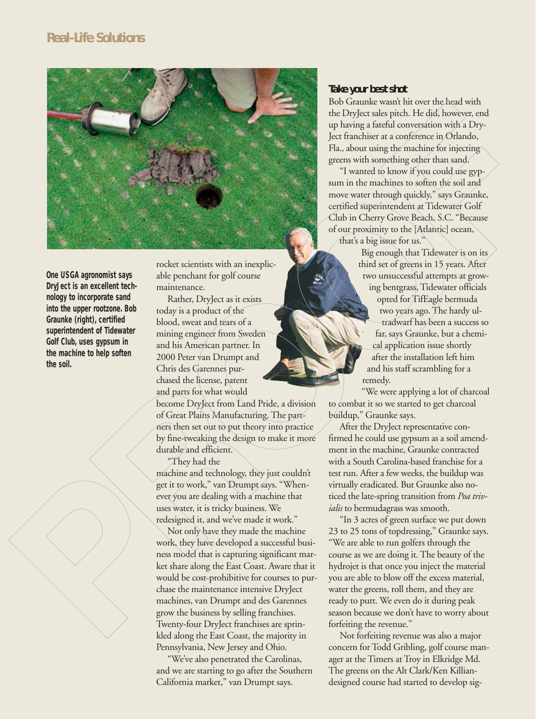### **Real-Life Solutions**



**One USGA agronomist says DryJect is an excellent technology to incorporate sand into the upper rootzone. Bob Graunke (right), certified superintendent of Tidewater Golf Club, uses gypsum in the machine to help soften the soil.**

rocket scientists with an inexplicable penchant for golf course maintenance.

Rather, DryJect as it exists today is a product of the blood, sweat and tears of a mining engineer from Sweden and his American partner. In 2000 Peter van Drumpt and Chris des Garennes purchased the license, patent and parts for what would become DryJect from Land Pride, a division of Great Plains Manufacturing. The partners then set out to put theory into practice by fine-tweaking the design to make it more durable and efficient.

"They had the

machine and technology, they just couldn't get it to work," van Drumpt says. "Whenever you are dealing with a machine that uses water, it is tricky business. We redesigned it, and we've made it work."

Not only have they made the machine work, they have developed a successful business model that is capturing significant market share along the East Coast. Aware that it would be cost-prohibitive for courses to purchase the maintenance intensive DryJect machines, van Drumpt and des Garennes grow the business by selling franchises. Twenty-four DryJect franchises are sprinkled along the East Coast, the majority in Pennsylvania, New Jersey and Ohio.

"We've also penetrated the Carolinas, and we are starting to go after the Southern California market," van Drumpt says.

#### **Take your best shot**

Bob Graunke wasn't hit over the head with the DryJect sales pitch. He did, however, end up having a fateful conversation with a Dry-Ject franchiser at a conference in Orlando, Fla., about using the machine for injecting greens with something other than sand.

"I wanted to know if you could use gypsum in the machines to soften the soil and move water through quickly," says Graunke, certified superintendent at Tidewater Golf Club in Cherry Grove Beach, S.C. "Because of our proximity to the [Atlantic] ocean, that's a big issue for us."

> Big enough that Tidewater is on its third set of greens in 15 years. After two unsuccessful attempts at growing bentgrass, Tidewater officials opted for TifEagle bermuda two years ago. The hardy ultradwarf has been a success so far, says Graunke, but a chemical application issue shortly after the installation left him and his staff scrambling for a remedy.

"We were applying a lot of charcoal to combat it so we started to get charcoal buildup," Graunke says.

After the DryJect representative confirmed he could use gypsum as a soil amendment in the machine, Graunke contracted with a South Carolina-based franchise for a test run. After a few weeks, the buildup was virtually eradicated. But Graunke also noticed the late-spring transition from *Poa trivialis* to bermudagrass was smooth.

"In 3 acres of green surface we put down 23 to 25 tons of topdressing," Graunke says. "We are able to run golfers through the course as we are doing it. The beauty of the hydrojet is that once you inject the material you are able to blow off the excess material, water the greens, roll them, and they are ready to putt. We even do it during peak season because we don't have to worry about forfeiting the revenue."

Not forfeiting revenue was also a major concern for Todd Gribling, golf course manager at the Timers at Troy in Elkridge Md. The greens on the Alt Clark/Ken Killiandesigned course had started to develop sig-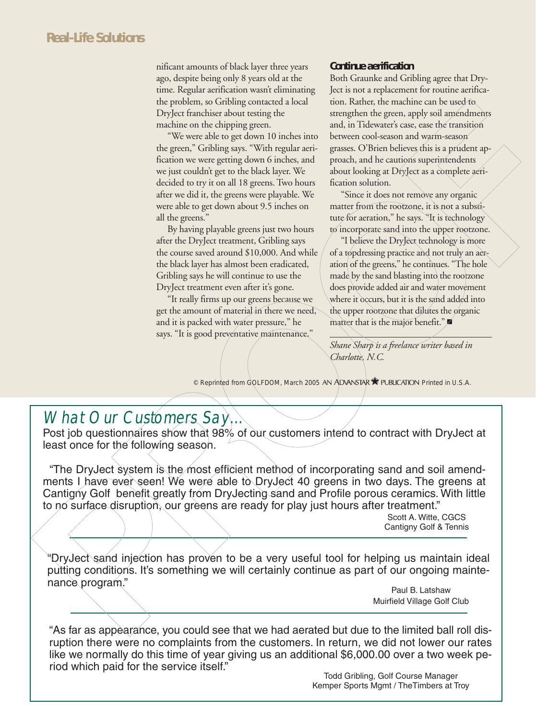### **Real-Life Solutions**

nificant amounts of black layer three years ago, despite being only 8 years old at the time. Regular aerification wasn't eliminating the problem, so Gribling contacted a local DryJect franchiser about testing the machine on the chipping green.

"We were able to get down 10 inches into the green," Gribling says. "With regular aerification we were getting down 6 inches, and we just couldn't get to the black layer. We decided to try it on all 18 greens. Two hours after we did it, the greens were playable. We were able to get down about 9.5 inches on all the greens."

By having playable greens just two hours after the DryJect treatment, Gribling says the course saved around \$10,000. And while the black layer has almost been eradicated, Gribling says he will continue to use the DryJect treatment even after it's gone.

"It really firms up our greens because we get the amount of material in there we need, and it is packed with water pressure," he says. "It is good preventative maintenance."

#### **Continue aerification**

Both Graunke and Gribling agree that Dry-Ject is not a replacement for routine aerification. Rather, the machine can be used to strengthen the green, apply soil amendments and, in Tidewater's case, ease the transition between cool-season and warm-season grasses. O'Brien believes this is a prudent approach, and he cautions superintendents about looking at DryJect as a complete aerification solution.

"Since it does not remove any organic matter from the rootzone, it is not a substitute for aeration," he says. "It is technology to incorporate sand into the upper rootzone.

"I believe the DryJect technology is more of a topdressing practice and not truly an aeration of the greens," he continues. "The hole made by the sand blasting into the rootzone does provide added air and water movement where it occurs, but it is the sand added into the upper rootzone that dilutes the organic matter that is the major benefit."

*Shane Sharp is a freelance writer based in Charlotte, N.C.*

© Reprinted from GOLFDOM, March 2005 AN ADVANSTAR PUBLICATION Printed in U.S.A.

## What Our Customers Say...

Post job questionnaires show that 98% of our customers intend to contract with DryJect at least once for the following season.

"The DryJect system is the most efficient method of incorporating sand and soil amendments I have ever seen! We were able to DryJect 40 greens in two days. The greens at Cantigny Golf benefit greatly from DryJecting sand and Profile porous ceramics. With little to no surface disruption, our greens are ready for play just hours after treatment."

> Scott A. Witte, CGCS Cantigny Golf & Tennis

"DryJect sand injection has proven to be a very useful tool for helping us maintain ideal putting conditions. It's something we will certainly continue as part of our ongoing maintenance program."

Paul B. Latshaw Muirfield Village Golf Club

"As far as appearance, you could see that we had aerated but due to the limited ball roll disruption there were no complaints from the customers. In return, we did not lower our rates like we normally do this time of year giving us an additional \$6,000.00 over a two week period which paid for the service itself."

Todd Gribling, Golf Course Manager Kemper Sports Mgmt / TheTimbers at Troy